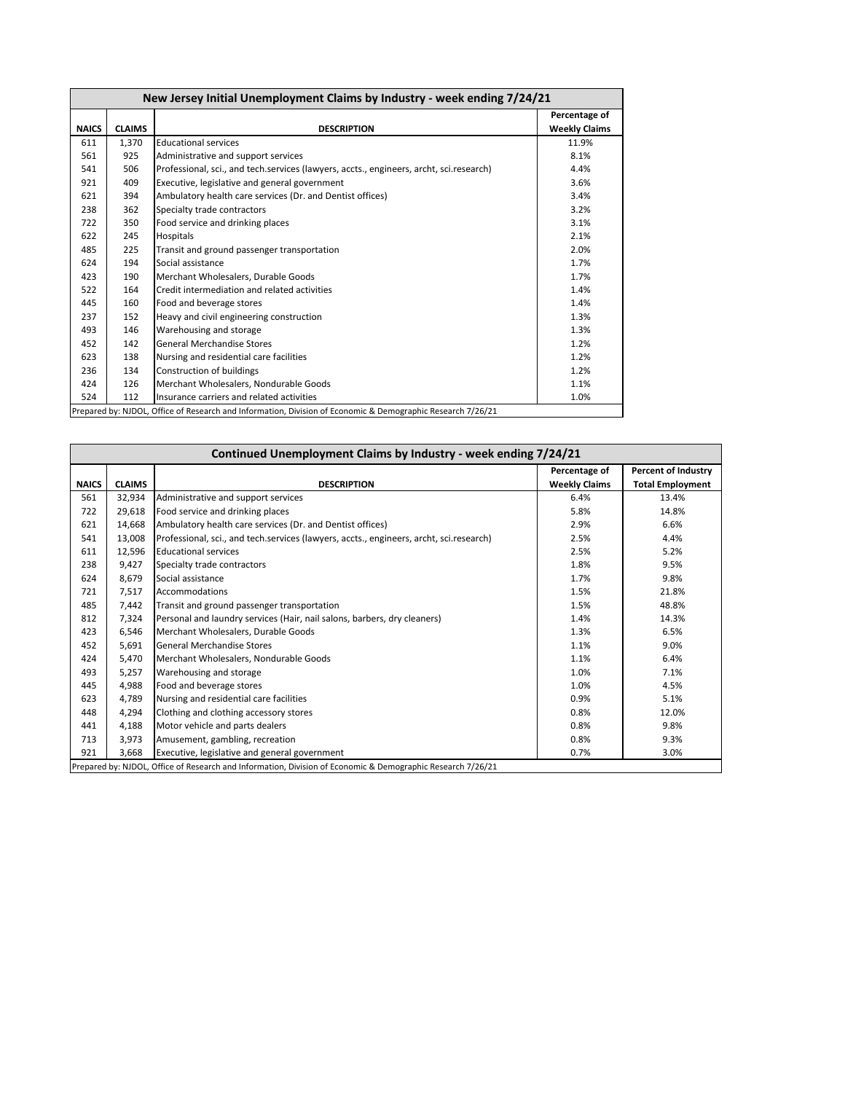| New Jersey Initial Unemployment Claims by Industry - week ending 7/24/21 |               |                                                                                         |                                       |  |
|--------------------------------------------------------------------------|---------------|-----------------------------------------------------------------------------------------|---------------------------------------|--|
| <b>NAICS</b>                                                             | <b>CLAIMS</b> | <b>DESCRIPTION</b>                                                                      | Percentage of<br><b>Weekly Claims</b> |  |
| 611                                                                      | 1,370         | <b>Educational services</b>                                                             | 11.9%                                 |  |
| 561                                                                      | 925           | Administrative and support services                                                     | 8.1%                                  |  |
| 541                                                                      | 506           | Professional, sci., and tech.services (lawyers, accts., engineers, archt, sci.research) | 4.4%                                  |  |
| 921                                                                      | 409           | Executive, legislative and general government                                           | 3.6%                                  |  |
| 621                                                                      | 394           | Ambulatory health care services (Dr. and Dentist offices)                               | 3.4%                                  |  |
| 238                                                                      | 362           | Specialty trade contractors                                                             | 3.2%                                  |  |
| 722                                                                      | 350           | Food service and drinking places                                                        | 3.1%                                  |  |
| 622                                                                      | 245           | Hospitals                                                                               | 2.1%                                  |  |
| 485                                                                      | 225           | Transit and ground passenger transportation                                             | 2.0%                                  |  |
| 624                                                                      | 194           | Social assistance                                                                       | 1.7%                                  |  |
| 423                                                                      | 190           | Merchant Wholesalers, Durable Goods                                                     | 1.7%                                  |  |
| 522                                                                      | 164           | Credit intermediation and related activities                                            | 1.4%                                  |  |
| 445                                                                      | 160           | Food and beverage stores                                                                | 1.4%                                  |  |
| 237                                                                      | 152           | Heavy and civil engineering construction                                                | 1.3%                                  |  |
| 493                                                                      | 146           | Warehousing and storage                                                                 | 1.3%                                  |  |
| 452                                                                      | 142           | <b>General Merchandise Stores</b>                                                       | 1.2%                                  |  |
| 623                                                                      | 138           | Nursing and residential care facilities                                                 | 1.2%                                  |  |
| 236                                                                      | 134           | Construction of buildings                                                               | 1.2%                                  |  |
| 424                                                                      | 126           | Merchant Wholesalers, Nondurable Goods                                                  | 1.1%                                  |  |
| 524                                                                      | 112           | Insurance carriers and related activities                                               | 1.0%                                  |  |

| Continued Unemployment Claims by Industry - week ending 7/24/21 |               |                                                                                         |                                       |                                                |  |  |
|-----------------------------------------------------------------|---------------|-----------------------------------------------------------------------------------------|---------------------------------------|------------------------------------------------|--|--|
| <b>NAICS</b>                                                    | <b>CLAIMS</b> | <b>DESCRIPTION</b>                                                                      | Percentage of<br><b>Weekly Claims</b> | Percent of Industry<br><b>Total Employment</b> |  |  |
| 561                                                             | 32,934        | Administrative and support services                                                     | 6.4%                                  | 13.4%                                          |  |  |
| 722                                                             | 29,618        | Food service and drinking places                                                        | 5.8%                                  | 14.8%                                          |  |  |
| 621                                                             | 14,668        | Ambulatory health care services (Dr. and Dentist offices)                               | 2.9%                                  | 6.6%                                           |  |  |
| 541                                                             | 13,008        | Professional, sci., and tech.services (lawyers, accts., engineers, archt, sci.research) | 2.5%                                  | 4.4%                                           |  |  |
| 611                                                             | 12,596        | <b>Educational services</b>                                                             | 2.5%                                  | 5.2%                                           |  |  |
| 238                                                             | 9,427         | Specialty trade contractors                                                             | 1.8%                                  | 9.5%                                           |  |  |
| 624                                                             | 8,679         | Social assistance                                                                       | 1.7%                                  | 9.8%                                           |  |  |
| 721                                                             | 7,517         | Accommodations                                                                          | 1.5%                                  | 21.8%                                          |  |  |
| 485                                                             | 7,442         | Transit and ground passenger transportation                                             | 1.5%                                  | 48.8%                                          |  |  |
| 812                                                             | 7,324         | Personal and laundry services (Hair, nail salons, barbers, dry cleaners)                | 1.4%                                  | 14.3%                                          |  |  |
| 423                                                             | 6,546         | Merchant Wholesalers, Durable Goods                                                     | 1.3%                                  | 6.5%                                           |  |  |
| 452                                                             | 5,691         | <b>General Merchandise Stores</b>                                                       | 1.1%                                  | 9.0%                                           |  |  |
| 424                                                             | 5,470         | Merchant Wholesalers, Nondurable Goods                                                  | 1.1%                                  | 6.4%                                           |  |  |
| 493                                                             | 5,257         | Warehousing and storage                                                                 | 1.0%                                  | 7.1%                                           |  |  |
| 445                                                             | 4,988         | Food and beverage stores                                                                | 1.0%                                  | 4.5%                                           |  |  |
| 623                                                             | 4,789         | Nursing and residential care facilities                                                 | 0.9%                                  | 5.1%                                           |  |  |
| 448                                                             | 4,294         | Clothing and clothing accessory stores                                                  | 0.8%                                  | 12.0%                                          |  |  |
| 441                                                             | 4,188         | Motor vehicle and parts dealers                                                         | 0.8%                                  | 9.8%                                           |  |  |
| 713                                                             | 3,973         | Amusement, gambling, recreation                                                         | 0.8%                                  | 9.3%                                           |  |  |
| 921                                                             | 3.668         | Executive, legislative and general government                                           | 0.7%                                  | 3.0%                                           |  |  |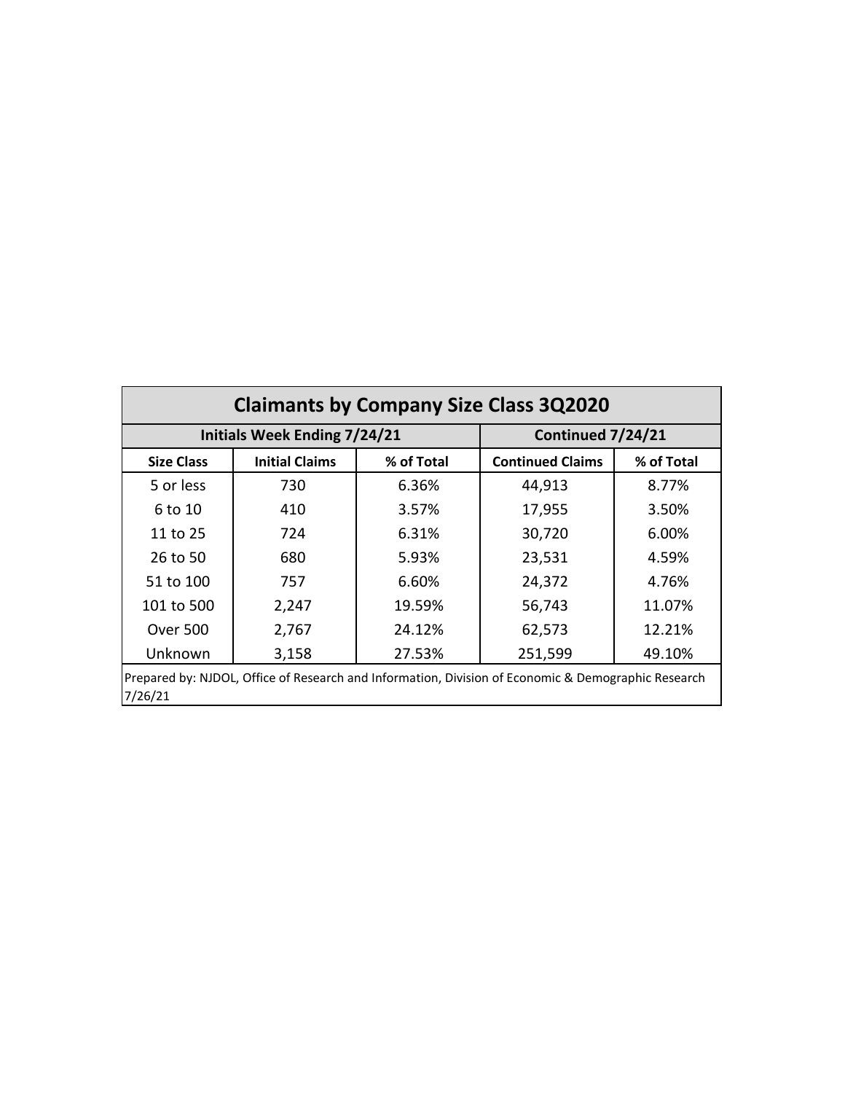| <b>Claimants by Company Size Class 3Q2020</b>                                                                  |                                     |                   |                         |            |  |  |
|----------------------------------------------------------------------------------------------------------------|-------------------------------------|-------------------|-------------------------|------------|--|--|
|                                                                                                                | <b>Initials Week Ending 7/24/21</b> | Continued 7/24/21 |                         |            |  |  |
| <b>Size Class</b>                                                                                              | <b>Initial Claims</b>               | % of Total        | <b>Continued Claims</b> | % of Total |  |  |
| 5 or less                                                                                                      | 730                                 | 6.36%             | 44,913                  | 8.77%      |  |  |
| 6 to 10                                                                                                        | 410                                 | 3.57%             | 17,955                  | 3.50%      |  |  |
| 11 to 25                                                                                                       | 724                                 | 6.31%             | 30,720                  | 6.00%      |  |  |
| 26 to 50                                                                                                       | 680                                 | 5.93%             | 23,531                  | 4.59%      |  |  |
| 51 to 100                                                                                                      | 757                                 | 6.60%             | 24,372                  | 4.76%      |  |  |
| 101 to 500                                                                                                     | 2,247                               | 19.59%            | 56,743                  | 11.07%     |  |  |
| <b>Over 500</b>                                                                                                | 2,767                               | 24.12%            | 62,573                  | 12.21%     |  |  |
| Unknown                                                                                                        | 3,158                               | 27.53%            | 251,599                 | 49.10%     |  |  |
| Prepared by: NJDOL, Office of Research and Information, Division of Economic & Demographic Research<br>7/26/21 |                                     |                   |                         |            |  |  |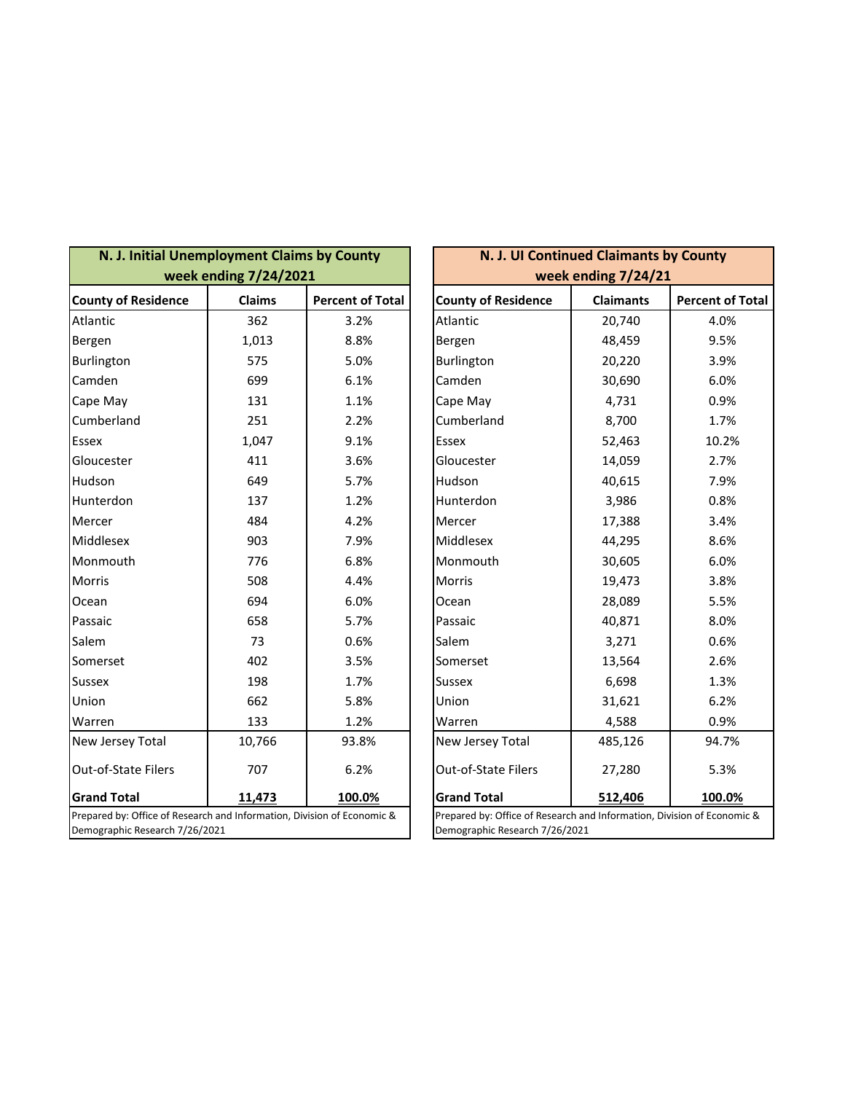| N. J. Initial Unemployment Claims by County                                                               | week ending 7/24/2021 |                         | N. J. UI Continued Claimants by County<br>week ending 7/24/21                                             |                  |                         |  |
|-----------------------------------------------------------------------------------------------------------|-----------------------|-------------------------|-----------------------------------------------------------------------------------------------------------|------------------|-------------------------|--|
| <b>County of Residence</b>                                                                                | <b>Claims</b>         | <b>Percent of Total</b> | <b>County of Residence</b>                                                                                | <b>Claimants</b> | <b>Percent of Total</b> |  |
| Atlantic                                                                                                  | 362                   | 3.2%                    | Atlantic                                                                                                  | 20,740           | 4.0%                    |  |
| Bergen                                                                                                    | 1,013                 | 8.8%                    | Bergen                                                                                                    | 48,459           | 9.5%                    |  |
| Burlington                                                                                                | 575                   | 5.0%                    | Burlington                                                                                                | 20,220           | 3.9%                    |  |
| Camden                                                                                                    | 699                   | 6.1%                    | Camden                                                                                                    | 30,690           | 6.0%                    |  |
| Cape May                                                                                                  | 131                   | 1.1%                    | Cape May                                                                                                  | 4,731            | 0.9%                    |  |
| Cumberland                                                                                                | 251                   | 2.2%                    | Cumberland                                                                                                | 8,700            | 1.7%                    |  |
| Essex                                                                                                     | 1,047                 | 9.1%                    | Essex                                                                                                     | 52,463           | 10.2%                   |  |
| Gloucester                                                                                                | 411                   | 3.6%                    | Gloucester                                                                                                | 14,059           | 2.7%                    |  |
| Hudson                                                                                                    | 649                   | 5.7%                    | Hudson                                                                                                    | 40,615           | 7.9%                    |  |
| Hunterdon                                                                                                 | 137                   | 1.2%                    | Hunterdon                                                                                                 | 3,986            | 0.8%                    |  |
| Mercer                                                                                                    | 484                   | 4.2%                    | Mercer                                                                                                    | 17,388           | 3.4%                    |  |
| Middlesex                                                                                                 | 903                   | 7.9%                    | Middlesex                                                                                                 | 44,295           | 8.6%                    |  |
| Monmouth                                                                                                  | 776                   | 6.8%                    | Monmouth                                                                                                  | 30,605           | 6.0%                    |  |
| Morris                                                                                                    | 508                   | 4.4%                    | <b>Morris</b>                                                                                             | 19,473           | 3.8%                    |  |
| Ocean                                                                                                     | 694                   | 6.0%                    | Ocean                                                                                                     | 28,089           | 5.5%                    |  |
| Passaic                                                                                                   | 658                   | 5.7%                    | Passaic                                                                                                   | 40,871           | 8.0%                    |  |
| Salem                                                                                                     | 73                    | 0.6%                    | Salem                                                                                                     | 3,271            | 0.6%                    |  |
| Somerset                                                                                                  | 402                   | 3.5%                    | Somerset                                                                                                  | 13,564           | 2.6%                    |  |
| <b>Sussex</b>                                                                                             | 198                   | 1.7%                    | <b>Sussex</b>                                                                                             | 6,698            | 1.3%                    |  |
| Union                                                                                                     | 662                   | 5.8%                    | Union                                                                                                     | 31,621           | 6.2%                    |  |
| Warren                                                                                                    | 133                   | 1.2%                    | Warren                                                                                                    | 4,588            | 0.9%                    |  |
| New Jersey Total                                                                                          | 10,766                | 93.8%                   | New Jersey Total                                                                                          | 485,126          | 94.7%                   |  |
| Out-of-State Filers                                                                                       | 707                   | 6.2%                    | Out-of-State Filers                                                                                       | 27,280           | 5.3%                    |  |
| <b>Grand Total</b>                                                                                        | 11,473                | 100.0%                  | <b>Grand Total</b>                                                                                        | 512,406          | 100.0%                  |  |
| Prepared by: Office of Research and Information, Division of Economic &<br>Demographic Research 7/26/2021 |                       |                         | Prepared by: Office of Research and Information, Division of Economic &<br>Demographic Research 7/26/2021 |                  |                         |  |

| N. J. UI Continued Claimants by County                                                                    |                   |                         |  |  |  |
|-----------------------------------------------------------------------------------------------------------|-------------------|-------------------------|--|--|--|
| week ending 7/24/21                                                                                       |                   |                         |  |  |  |
| <b>County of Residence</b>                                                                                | <b>Claimants</b>  | <b>Percent of Total</b> |  |  |  |
| Atlantic                                                                                                  | 20,740            | 4.0%                    |  |  |  |
| Bergen                                                                                                    | 48,459            | 9.5%                    |  |  |  |
| Burlington                                                                                                | 20,220            | 3.9%                    |  |  |  |
| Camden                                                                                                    | 30,690            | 6.0%                    |  |  |  |
| Cape May                                                                                                  | 4,731             | 0.9%                    |  |  |  |
| Cumberland                                                                                                | 8,700             | 1.7%                    |  |  |  |
| Essex                                                                                                     | 52,463            | 10.2%                   |  |  |  |
| Gloucester                                                                                                | 14,059            | 2.7%                    |  |  |  |
| Hudson                                                                                                    | 40,615            | 7.9%                    |  |  |  |
| Hunterdon                                                                                                 | 3,986             | 0.8%                    |  |  |  |
| Mercer                                                                                                    | 17,388            | 3.4%                    |  |  |  |
| Middlesex                                                                                                 | 44,295            | 8.6%                    |  |  |  |
| Monmouth                                                                                                  | 30,605            | 6.0%                    |  |  |  |
| Morris                                                                                                    | 19,473            | 3.8%                    |  |  |  |
| Ocean                                                                                                     | 28,089            | 5.5%                    |  |  |  |
| Passaic                                                                                                   | 40,871            | 8.0%                    |  |  |  |
| Salem                                                                                                     | 3,271             | 0.6%                    |  |  |  |
| Somerset                                                                                                  | 13,564            | 2.6%                    |  |  |  |
| Sussex                                                                                                    | 6,698             | 1.3%                    |  |  |  |
| Union                                                                                                     | 31,621            | 6.2%                    |  |  |  |
| Warren                                                                                                    | 4,588             | 0.9%                    |  |  |  |
| New Jersey Total                                                                                          | 485,126           | 94.7%                   |  |  |  |
| <b>Out-of-State Filers</b>                                                                                | 27,280            | 5.3%                    |  |  |  |
| <b>Grand Total</b>                                                                                        | 512,406<br>100.0% |                         |  |  |  |
| Prepared by: Office of Research and Information, Division of Economic &<br>Demographic Research 7/26/2021 |                   |                         |  |  |  |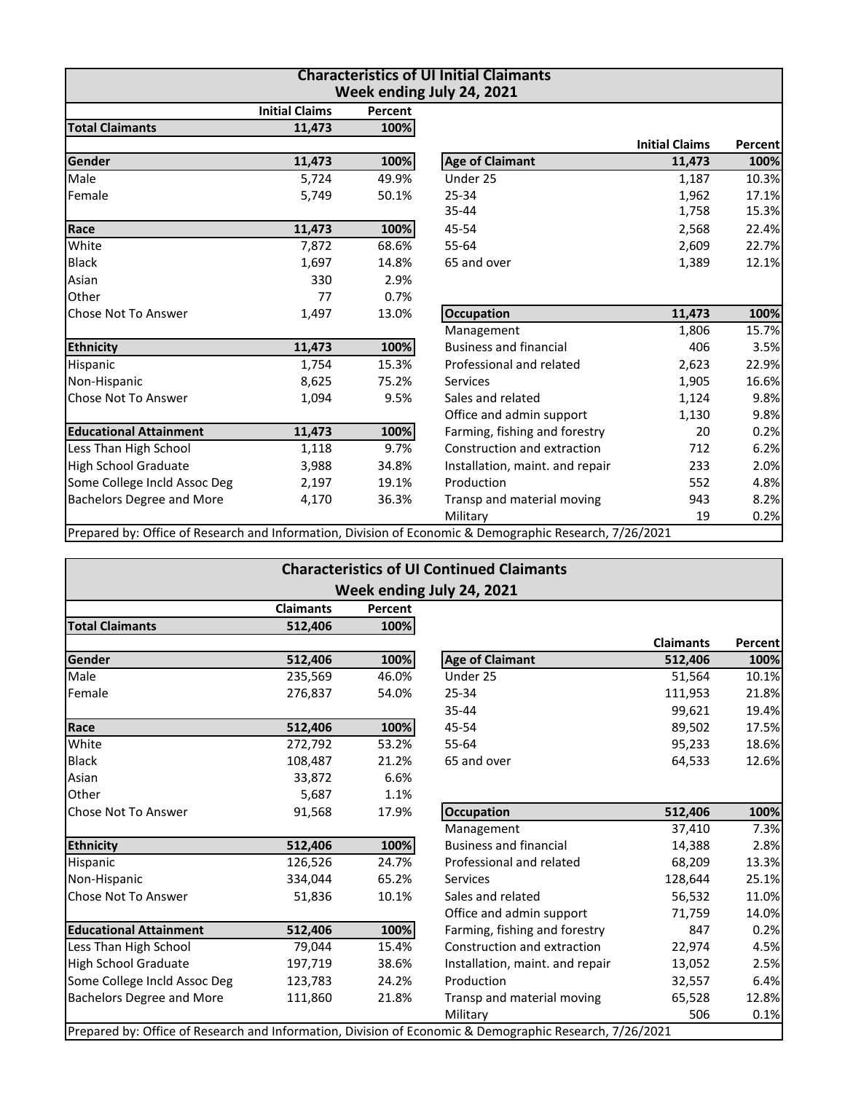| <b>Characteristics of UI Initial Claimants</b><br>Week ending July 24, 2021 |                                                                                                         |  |  |  |  |  |
|-----------------------------------------------------------------------------|---------------------------------------------------------------------------------------------------------|--|--|--|--|--|
|                                                                             |                                                                                                         |  |  |  |  |  |
|                                                                             |                                                                                                         |  |  |  |  |  |
| <b>Initial Claims</b>                                                       | Percent                                                                                                 |  |  |  |  |  |
| 11,473                                                                      | 100%                                                                                                    |  |  |  |  |  |
| 1,187                                                                       | 10.3%                                                                                                   |  |  |  |  |  |
| 1,962                                                                       | 17.1%                                                                                                   |  |  |  |  |  |
| 1,758                                                                       | 15.3%                                                                                                   |  |  |  |  |  |
| 2,568                                                                       | 22.4%                                                                                                   |  |  |  |  |  |
| 2,609                                                                       | 22.7%                                                                                                   |  |  |  |  |  |
| 1,389                                                                       | 12.1%                                                                                                   |  |  |  |  |  |
|                                                                             |                                                                                                         |  |  |  |  |  |
|                                                                             |                                                                                                         |  |  |  |  |  |
| 11,473                                                                      | 100%                                                                                                    |  |  |  |  |  |
| 1,806                                                                       | 15.7%                                                                                                   |  |  |  |  |  |
| 406                                                                         | 3.5%                                                                                                    |  |  |  |  |  |
| 2,623                                                                       | 22.9%                                                                                                   |  |  |  |  |  |
| 1,905                                                                       | 16.6%                                                                                                   |  |  |  |  |  |
| 1,124                                                                       | 9.8%                                                                                                    |  |  |  |  |  |
| 1,130                                                                       | 9.8%                                                                                                    |  |  |  |  |  |
| 20                                                                          | 0.2%                                                                                                    |  |  |  |  |  |
| 712                                                                         | 6.2%                                                                                                    |  |  |  |  |  |
| 233                                                                         | 2.0%                                                                                                    |  |  |  |  |  |
| 552                                                                         | 4.8%                                                                                                    |  |  |  |  |  |
| 943                                                                         | 8.2%                                                                                                    |  |  |  |  |  |
| 19                                                                          | 0.2%                                                                                                    |  |  |  |  |  |
|                                                                             | Prepared by: Office of Research and Information, Division of Economic & Demographic Research, 7/26/2021 |  |  |  |  |  |

| <b>Characteristics of UI Continued Claimants</b> |                  |         |                                                                                                         |                  |         |  |  |
|--------------------------------------------------|------------------|---------|---------------------------------------------------------------------------------------------------------|------------------|---------|--|--|
| Week ending July 24, 2021                        |                  |         |                                                                                                         |                  |         |  |  |
|                                                  | <b>Claimants</b> | Percent |                                                                                                         |                  |         |  |  |
| <b>Total Claimants</b>                           | 512,406          | 100%    |                                                                                                         |                  |         |  |  |
|                                                  |                  |         |                                                                                                         | <b>Claimants</b> | Percent |  |  |
| Gender                                           | 512,406          | 100%    | <b>Age of Claimant</b>                                                                                  | 512,406          | 100%    |  |  |
| Male                                             | 235,569          | 46.0%   | Under 25                                                                                                | 51,564           | 10.1%   |  |  |
| Female                                           | 276,837          | 54.0%   | 25-34                                                                                                   | 111,953          | 21.8%   |  |  |
|                                                  |                  |         | 35-44                                                                                                   | 99,621           | 19.4%   |  |  |
| Race                                             | 512,406          | 100%    | 45-54                                                                                                   | 89,502           | 17.5%   |  |  |
| White                                            | 272,792          | 53.2%   | 55-64                                                                                                   | 95,233           | 18.6%   |  |  |
| <b>Black</b>                                     | 108,487          | 21.2%   | 65 and over                                                                                             | 64,533           | 12.6%   |  |  |
| Asian                                            | 33,872           | 6.6%    |                                                                                                         |                  |         |  |  |
| Other                                            | 5,687            | 1.1%    |                                                                                                         |                  |         |  |  |
| <b>Chose Not To Answer</b>                       | 91,568           | 17.9%   | <b>Occupation</b>                                                                                       | 512,406          | 100%    |  |  |
|                                                  |                  |         | Management                                                                                              | 37,410           | 7.3%    |  |  |
| <b>Ethnicity</b>                                 | 512,406          | 100%    | <b>Business and financial</b>                                                                           | 14,388           | 2.8%    |  |  |
| Hispanic                                         | 126,526          | 24.7%   | Professional and related                                                                                | 68,209           | 13.3%   |  |  |
| Non-Hispanic                                     | 334,044          | 65.2%   | <b>Services</b>                                                                                         | 128,644          | 25.1%   |  |  |
| Chose Not To Answer                              | 51,836           | 10.1%   | Sales and related                                                                                       | 56,532           | 11.0%   |  |  |
|                                                  |                  |         | Office and admin support                                                                                | 71,759           | 14.0%   |  |  |
| <b>Educational Attainment</b>                    | 512,406          | 100%    | Farming, fishing and forestry                                                                           | 847              | 0.2%    |  |  |
| Less Than High School                            | 79,044           | 15.4%   | Construction and extraction                                                                             | 22,974           | 4.5%    |  |  |
| <b>High School Graduate</b>                      | 197,719          | 38.6%   | Installation, maint. and repair                                                                         | 13,052           | 2.5%    |  |  |
| Some College Incld Assoc Deg                     | 123,783          | 24.2%   | Production                                                                                              | 32,557           | 6.4%    |  |  |
| <b>Bachelors Degree and More</b>                 | 111,860          | 21.8%   | Transp and material moving                                                                              | 65,528           | 12.8%   |  |  |
|                                                  |                  |         | Military                                                                                                | 506              | 0.1%    |  |  |
|                                                  |                  |         | Prepared by: Office of Research and Information, Division of Economic & Demographic Research, 7/26/2021 |                  |         |  |  |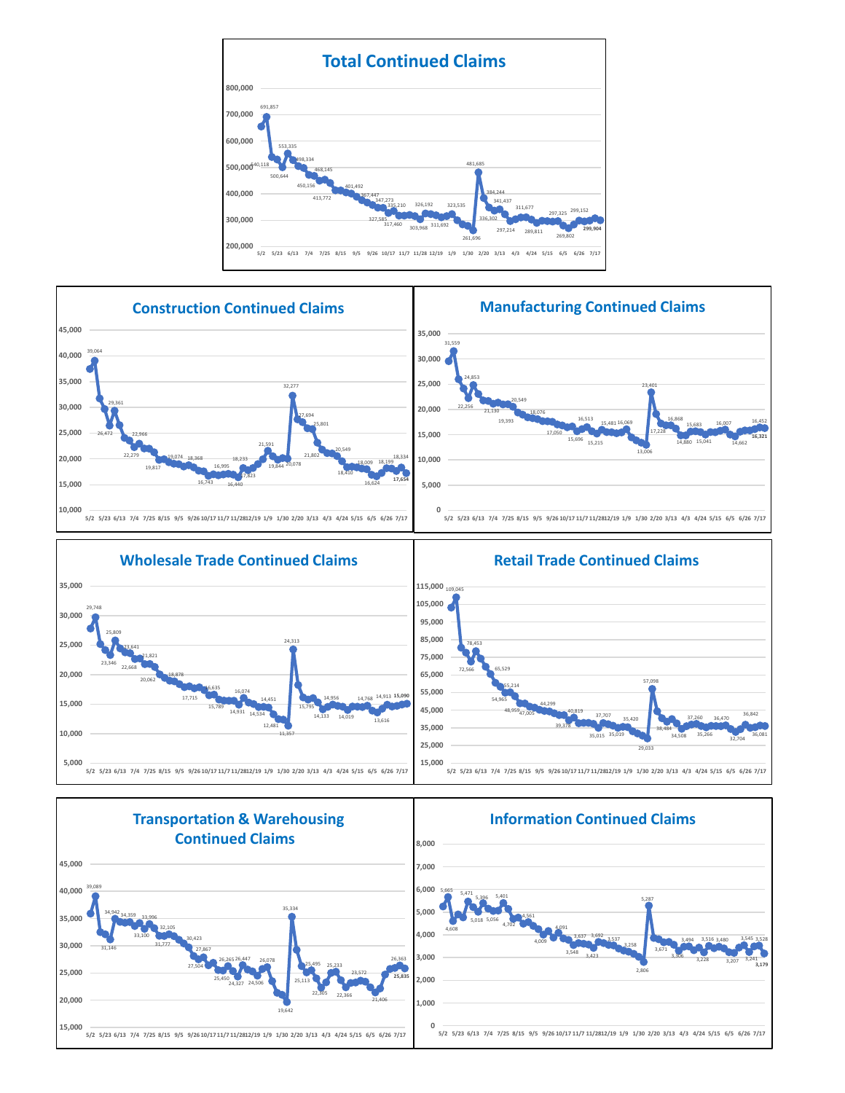